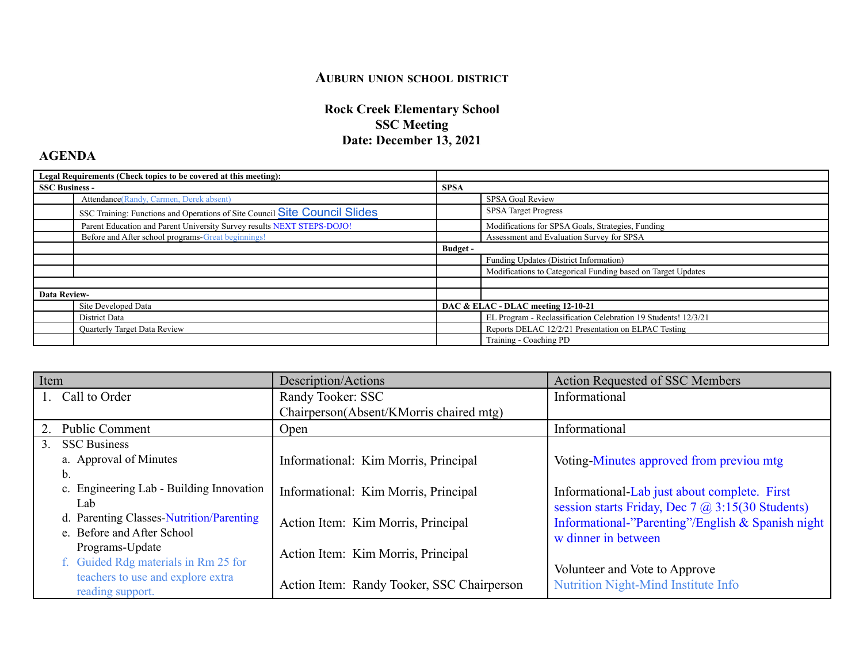## **AUBURN UNION SCHOOL DISTRICT**

## **Rock Creek Elementary School SSC Meeting Date: December 13, 2021**

## **AGENDA**

| Legal Requirements (Check topics to be covered at this meeting): |                                                                            |                                    |                                                                |
|------------------------------------------------------------------|----------------------------------------------------------------------------|------------------------------------|----------------------------------------------------------------|
| <b>SSC Business -</b>                                            |                                                                            | <b>SPSA</b>                        |                                                                |
|                                                                  | Attendance (Randy, Carmen, Derek absent)                                   |                                    | SPSA Goal Review                                               |
|                                                                  | SSC Training: Functions and Operations of Site Council Site Council Slides |                                    | <b>SPSA</b> Target Progress                                    |
|                                                                  | Parent Education and Parent University Survey results NEXT STEPS-DOJO!     |                                    | Modifications for SPSA Goals, Strategies, Funding              |
|                                                                  | Before and After school programs-Great beginnings!                         |                                    | Assessment and Evaluation Survey for SPSA                      |
|                                                                  |                                                                            | Budget -                           |                                                                |
|                                                                  |                                                                            |                                    | Funding Updates (District Information)                         |
|                                                                  |                                                                            |                                    | Modifications to Categorical Funding based on Target Updates   |
|                                                                  |                                                                            |                                    |                                                                |
| <b>Data Review-</b>                                              |                                                                            |                                    |                                                                |
|                                                                  | Site Developed Data                                                        | DAC & ELAC - DLAC meeting 12-10-21 |                                                                |
|                                                                  | District Data                                                              |                                    | EL Program - Reclassification Celebration 19 Students! 12/3/21 |
|                                                                  | Quarterly Target Data Review                                               |                                    | Reports DELAC 12/2/21 Presentation on ELPAC Testing            |
|                                                                  |                                                                            |                                    | Training - Coaching PD                                         |

| Item           |                                          | Description/Actions                        | <b>Action Requested of SSC Members</b>                  |
|----------------|------------------------------------------|--------------------------------------------|---------------------------------------------------------|
|                | Call to Order                            | Randy Tooker: SSC                          | Informational                                           |
|                |                                          | Chairperson(Absent/KMorris chaired mtg)    |                                                         |
| 2.             | <b>Public Comment</b>                    | Open                                       | Informational                                           |
| 3 <sub>1</sub> | <b>SSC Business</b>                      |                                            |                                                         |
|                | a. Approval of Minutes                   | Informational: Kim Morris, Principal       | Voting-Minutes approved from previou mtg                |
|                | b.                                       |                                            |                                                         |
|                | c. Engineering Lab - Building Innovation | Informational: Kim Morris, Principal       | Informational-Lab just about complete. First            |
|                | Lab                                      |                                            | session starts Friday, Dec 7 $\omega$ 3:15(30 Students) |
|                | d. Parenting Classes-Nutrition/Parenting | Action Item: Kim Morris, Principal         | Informational-"Parenting"/English & Spanish night       |
|                | e. Before and After School               |                                            | w dinner in between                                     |
|                | Programs-Update                          | Action Item: Kim Morris, Principal         |                                                         |
|                | f. Guided Rdg materials in Rm 25 for     |                                            | Volunteer and Vote to Approve                           |
|                | teachers to use and explore extra        | Action Item: Randy Tooker, SSC Chairperson | <b>Nutrition Night-Mind Institute Info</b>              |
|                | reading support.                         |                                            |                                                         |